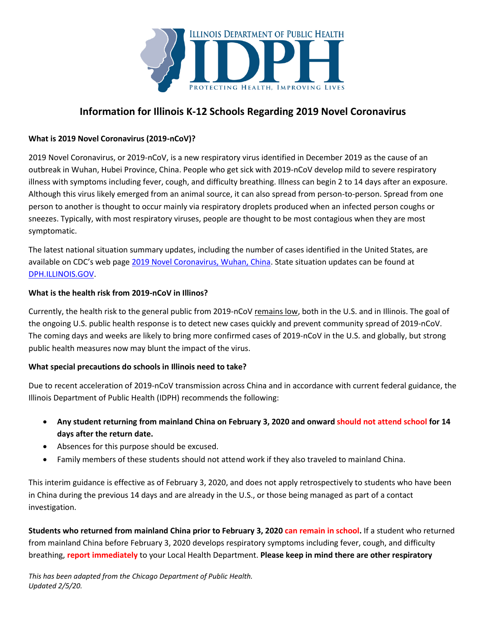

# **Information for Illinois K-12 Schools Regarding 2019 Novel Coronavirus**

## **What is 2019 Novel Coronavirus (2019-nCoV)?**

2019 Novel Coronavirus, or 2019-nCoV, is a new respiratory virus identified in December 2019 as the cause of an outbreak in Wuhan, Hubei Province, China. People who get sick with 2019-nCoV develop mild to severe respiratory illness with symptoms including fever, cough, and difficulty breathing. Illness can begin 2 to 14 days after an exposure. Although this virus likely emerged from an animal source, it can also spread from person-to-person. Spread from one person to another is thought to occur mainly via respiratory droplets produced when an infected person coughs or sneezes. Typically, with most respiratory viruses, people are thought to be most contagious when they are most symptomatic.

The latest national situation summary updates, including the number of cases identified in the United States, are available on CDC's web page [2019 Novel Coronavirus, Wuhan, China.](https://www.cdc.gov/coronavirus/2019-ncov/summary.html) State situation updates can be found at [DPH.ILLINOIS.GOV.](http://dph.illinois.gov/topics-services/diseases-and-conditions/diseases-a-z-list/coronavirus)

#### **What is the health risk from 2019-nCoV in Illinos?**

Currently, the health risk to the general public from 2019-nCoV remains low, both in the U.S. and in Illinois. The goal of the ongoing U.S. public health response is to detect new cases quickly and prevent community spread of 2019-nCoV. The coming days and weeks are likely to bring more confirmed cases of 2019-nCoV in the U.S. and globally, but strong public health measures now may blunt the impact of the virus.

#### **What special precautions do schools in Illinois need to take?**

Due to recent acceleration of 2019-nCoV transmission across China and in accordance with current federal guidance, the Illinois Department of Public Health (IDPH) recommends the following:

- Any student returning from mainland China on February 3, 2020 and onward should not attend school for 14 **days after the return date.**
- Absences for this purpose should be excused.
- Family members of these students should not attend work if they also traveled to mainland China.

This interim guidance is effective as of February 3, 2020, and does not apply retrospectively to students who have been in China during the previous 14 days and are already in the U.S., or those being managed as part of a contact investigation.

**Students who returned from mainland China prior to February 3, 2020 can remain in school.** If a student who returned from mainland China before February 3, 2020 develops respiratory symptoms including fever, cough, and difficulty breathing, **report immediately** to your Local Health Department. **Please keep in mind there are other respiratory**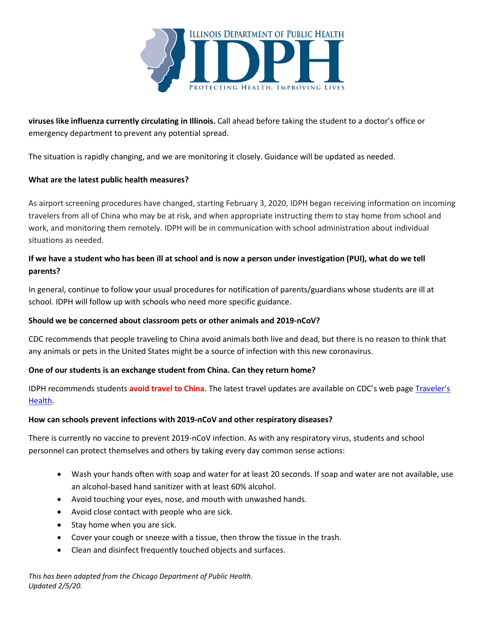

**viruses like influenza currently circulating in Illinois.** Call ahead before taking the student to a doctor's office or emergency department to prevent any potential spread.

The situation is rapidly changing, and we are monitoring it closely. Guidance will be updated as needed.

## **What are the latest public health measures?**

As airport screening procedures have changed, starting February 3, 2020, IDPH began receiving information on incoming travelers from all of China who may be at risk, and when appropriate instructing them to stay home from school and work, and monitoring them remotely. IDPH will be in communication with school administration about individual situations as needed.

# **If we have a student who has been ill at school and is now a person under investigation (PUI), what do we tell parents?**

In general, continue to follow your usual procedures for notification of parents/guardians whose students are ill at school. IDPH will follow up with schools who need more specific guidance.

## **Should we be concerned about classroom pets or other animals and 2019-nCoV?**

CDC recommends that people traveling to China avoid animals both live and dead, but there is no reason to think that any animals or pets in the United States might be a source of infection with this new coronavirus.

## **One of our students is an exchange student from China. Can they return home?**

IDPH recommends students **avoid travel to China**. The latest travel updates are available on CDC's web page [Traveler's](https://wwwnc.cdc.gov/travel/notices)  [Health.](https://wwwnc.cdc.gov/travel/notices)

## **How can schools prevent infections with 2019-nCoV and other respiratory diseases?**

There is currently no vaccine to prevent 2019-nCoV infection. As with any respiratory virus, students and school personnel can protect themselves and others by taking every day common sense actions:

- Wash your hands often with soap and water for at least 20 seconds. If soap and water are not available, use an alcohol-based hand sanitizer with at least 60% alcohol.
- Avoid touching your eyes, nose, and mouth with unwashed hands.
- Avoid close contact with people who are sick.
- Stay home when you are sick.
- Cover your cough or sneeze with a tissue, then throw the tissue in the trash.
- Clean and disinfect frequently touched objects and surfaces.

*This has been adapted from the Chicago Department of Public Health. Updated 2/5/20.*